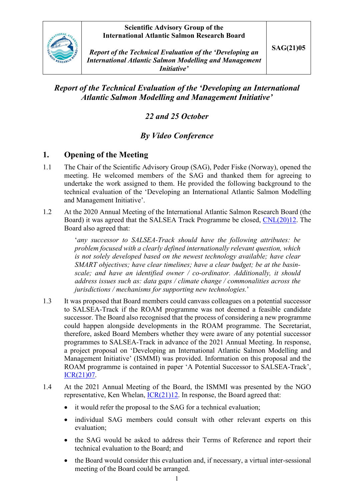### **Scientific Advisory Group of the International Atlantic Salmon Research Board**



*Report of the Technical Evaluation of the 'Developing an International Atlantic Salmon Modelling and Management Initiative'*

# *Report of the Technical Evaluation of the 'Developing an International Atlantic Salmon Modelling and Management Initiative'*

# *22 and 25 October*

# *By Video Conference*

# **1. Opening of the Meeting**

- 1.1 The Chair of the Scientific Advisory Group (SAG), Peder Fiske (Norway), opened the meeting. He welcomed members of the SAG and thanked them for agreeing to undertake the work assigned to them. He provided the following background to the technical evaluation of the 'Developing an International Atlantic Salmon Modelling and Management Initiative'.
- 1.2 At the 2020 Annual Meeting of the International Atlantic Salmon Research Board (the Board) it was agreed that the SALSEA Track Programme be closed, [CNL\(20\)12.](https://nasco.int/wp-content/uploads/2020/08/CNL2012_Report-of-the-Nineteenth-Meeting-of-the-International-Atlantic-Salmon-Research-Board_FINAL.pdf) The Board also agreed that:

'*any successor to SALSEA-Track should have the following attributes: be problem focused with a clearly defined internationally relevant question, which is not solely developed based on the newest technology available; have clear SMART objectives; have clear timelines; have a clear budget; be at the basinscale; and have an identified owner / co-ordinator. Additionally, it should address issues such as: data gaps / climate change / commonalities across the jurisdictions / mechanisms for supporting new technologies.*'

- 1.3 It was proposed that Board members could canvass colleagues on a potential successor to SALSEA-Track if the ROAM programme was not deemed a feasible candidate successor. The Board also recognised that the process of considering a new programme could happen alongside developments in the ROAM programme. The Secretariat, therefore, asked Board Members whether they were aware of any potential successor programmes to SALSEA-Track in advance of the 2021 Annual Meeting. In response, a project proposal on 'Developing an International Atlantic Salmon Modelling and Management Initiative' (ISMMI) was provided. Information on this proposal and the ROAM programme is contained in paper 'A Potential Successor to SALSEA-Track', [ICR\(21\)07.](https://salmonatsea.com/wp-content/uploads/2021/04/ICR2107_Potential-Successor-to-SALSEA-Track.pdf)
- 1.4 At the 2021 Annual Meeting of the Board, the ISMMI was presented by the NGO representative, Ken Whelan,  $ICR(21)12$ . In response, the Board agreed that:
	- it would refer the proposal to the SAG for a technical evaluation:
	- individual SAG members could consult with other relevant experts on this evaluation;
	- the SAG would be asked to address their Terms of Reference and report their technical evaluation to the Board; and
	- the Board would consider this evaluation and, if necessary, a virtual inter-sessional meeting of the Board could be arranged.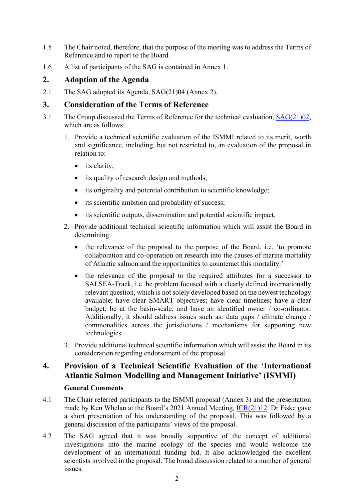- 1.5 The Chair noted, therefore, that the purpose of the meeting was to address the Terms of Reference and to report to the Board.
- 1.6 A list of participants of the SAG is contained in Annex 1.

# **2. Adoption of the Agenda**

2.1 The SAG adopted its Agenda, SAG(21)04 (Annex 2).

# **3. Consideration of the Terms of Reference**

- 3.1 The Group discussed the Terms of Reference for the technical evaluation, [SAG\(21\)02,](https://salmonatsea.com/wp-content/uploads/2021/10/SAG2102_Terms-of-Reference-for-the-SAGs-Technical-Evaluation-of-the-ISMMI.pdf) which are as follows:
	- 1. Provide a technical scientific evaluation of the ISMMI related to its merit, worth and significance, including, but not restricted to, an evaluation of the proposal in relation to:
		- its clarity;
		- its quality of research design and methods;
		- its originality and potential contribution to scientific knowledge;
		- its scientific ambition and probability of success;
		- its scientific outputs, dissemination and potential scientific impact.
	- 2. Provide additional technical scientific information which will assist the Board in determining:
		- the relevance of the proposal to the purpose of the Board, i.e. 'to promote collaboration and co-operation on research into the causes of marine mortality of Atlantic salmon and the opportunities to counteract this mortality.'
		- the relevance of the proposal to the required attributes for a successor to SALSEA-Track, i.e. be problem focused with a clearly defined internationally relevant question, which is not solely developed based on the newest technology available; have clear SMART objectives; have clear timelines; have a clear budget; be at the basin-scale; and have an identified owner / co-ordinator. Additionally, it should address issues such as: data gaps / climate change / commonalities across the jurisdictions / mechanisms for supporting new technologies.
	- 3. Provide additional technical scientific information which will assist the Board in its consideration regarding endorsement of the proposal.

# **4. Provision of a Technical Scientific Evaluation of the 'International Atlantic Salmon Modelling and Management Initiative' (ISMMI)**

### **General Comments**

- 4.1 The Chair referred participants to the ISMMI proposal (Annex 3) and the presentation made by Ken Whelan at the Board's 2021 Annual Meeting, [ICR\(21\)12.](https://salmonatsea.com/wp-content/uploads/2021/06/ICR2112_Presentation-on-the-ISMMI-Initiative.pdf) Dr Fiske gave a short presentation of his understanding of the proposal. This was followed by a general discussion of the participants' views of the proposal.
- 4.2 The SAG agreed that it was broadly supportive of the concept of additional investigations into the marine ecology of the species and would welcome the development of an international funding bid. It also acknowledged the excellent scientists involved in the proposal. The broad discussion related to a number of general issues.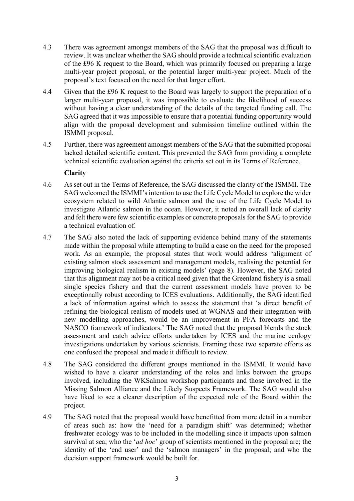- 4.3 There was agreement amongst members of the SAG that the proposal was difficult to review. It was unclear whether the SAG should provide a technical scientific evaluation of the £96 K request to the Board, which was primarily focused on preparing a large multi-year project proposal, or the potential larger multi-year project. Much of the proposal's text focused on the need for that larger effort.
- 4.4 Given that the £96 K request to the Board was largely to support the preparation of a larger multi-year proposal, it was impossible to evaluate the likelihood of success without having a clear understanding of the details of the targeted funding call. The SAG agreed that it was impossible to ensure that a potential funding opportunity would align with the proposal development and submission timeline outlined within the ISMMI proposal.
- 4.5 Further, there was agreement amongst members of the SAG that the submitted proposal lacked detailed scientific content. This prevented the SAG from providing a complete technical scientific evaluation against the criteria set out in its Terms of Reference.

#### **Clarity**

- 4.6 As set out in the Terms of Reference, the SAG discussed the clarity of the ISMMI. The SAG welcomed the ISMMI's intention to use the Life Cycle Model to explore the wider ecosystem related to wild Atlantic salmon and the use of the Life Cycle Model to investigate Atlantic salmon in the ocean. However, it noted an overall lack of clarity and felt there were few scientific examples or concrete proposals for the SAG to provide a technical evaluation of.
- 4.7 The SAG also noted the lack of supporting evidence behind many of the statements made within the proposal while attempting to build a case on the need for the proposed work. As an example, the proposal states that work would address 'alignment of existing salmon stock assessment and management models, realising the potential for improving biological realism in existing models' (page 8). However, the SAG noted that this alignment may not be a critical need given that the Greenland fishery is a small single species fishery and that the current assessment models have proven to be exceptionally robust according to ICES evaluations. Additionally, the SAG identified a lack of information against which to assess the statement that 'a direct benefit of refining the biological realism of models used at WGNAS and their integration with new modelling approaches, would be an improvement in PFA forecasts and the NASCO framework of indicators.' The SAG noted that the proposal blends the stock assessment and catch advice efforts undertaken by ICES and the marine ecology investigations undertaken by various scientists. Framing these two separate efforts as one confused the proposal and made it difficult to review.
- 4.8 The SAG considered the different groups mentioned in the ISMMI. It would have wished to have a clearer understanding of the roles and links between the groups involved, including the WKSalmon workshop participants and those involved in the Missing Salmon Alliance and the Likely Suspects Framework. The SAG would also have liked to see a clearer description of the expected role of the Board within the project.
- 4.9 The SAG noted that the proposal would have benefitted from more detail in a number of areas such as: how the 'need for a paradigm shift' was determined; whether freshwater ecology was to be included in the modelling since it impacts upon salmon survival at sea; who the '*ad hoc*' group of scientists mentioned in the proposal are; the identity of the 'end user' and the 'salmon managers' in the proposal; and who the decision support framework would be built for.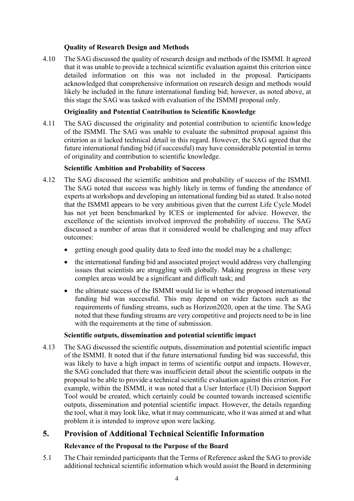### **Quality of Research Design and Methods**

4.10 The SAG discussed the quality of research design and methods of the ISMMI. It agreed that it was unable to provide a technical scientific evaluation against this criterion since detailed information on this was not included in the proposal. Participants acknowledged that comprehensive information on research design and methods would likely be included in the future international funding bid; however, as noted above, at this stage the SAG was tasked with evaluation of the ISMMI proposal only.

#### **Originality and Potential Contribution to Scientific Knowledge**

4.11 The SAG discussed the originality and potential contribution to scientific knowledge of the ISMMI. The SAG was unable to evaluate the submitted proposal against this criterion as it lacked technical detail in this regard. However, the SAG agreed that the future international funding bid (if successful) may have considerable potential in terms of originality and contribution to scientific knowledge.

#### **Scientific Ambition and Probability of Success**

- 4.12 The SAG discussed the scientific ambition and probability of success of the ISMMI. The SAG noted that success was highly likely in terms of funding the attendance of experts at workshops and developing an international funding bid as stated. It also noted that the ISMMI appears to be very ambitious given that the current Life Cycle Model has not yet been benchmarked by ICES or implemented for advice. However, the excellence of the scientists involved improved the probability of success. The SAG discussed a number of areas that it considered would be challenging and may affect outcomes:
	- getting enough good quality data to feed into the model may be a challenge;
	- the international funding bid and associated project would address very challenging issues that scientists are struggling with globally. Making progress in these very complex areas would be a significant and difficult task; and
	- the ultimate success of the ISMMI would lie in whether the proposed international funding bid was successful. This may depend on wider factors such as the requirements of funding streams, such as Horizon2020, open at the time. The SAG noted that these funding streams are very competitive and projects need to be in line with the requirements at the time of submission.

#### **Scientific outputs, dissemination and potential scientific impact**

4.13 The SAG discussed the scientific outputs, dissemination and potential scientific impact of the ISMMI. It noted that if the future international funding bid was successful, this was likely to have a high impact in terms of scientific output and impacts. However, the SAG concluded that there was insufficient detail about the scientific outputs in the proposal to be able to provide a technical scientific evaluation against this criterion. For example, within the ISMMI, it was noted that a User Interface (UI) Decision Support Tool would be created, which certainly could be counted towards increased scientific outputs, dissemination and potential scientific impact. However, the details regarding the tool, what it may look like, what it may communicate, who it was aimed at and what problem it is intended to improve upon were lacking.

# **5. Provision of Additional Technical Scientific Information**

### **Relevance of the Proposal to the Purpose of the Board**

5.1 The Chair reminded participants that the Terms of Reference asked the SAG to provide additional technical scientific information which would assist the Board in determining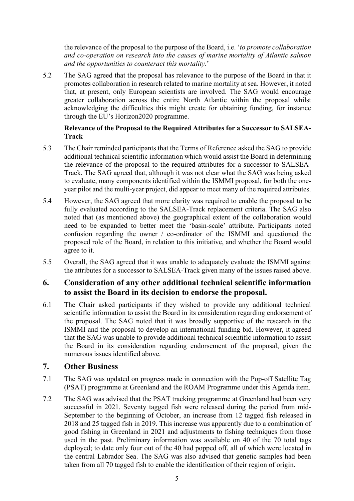the relevance of the proposal to the purpose of the Board, i.e. '*to promote collaboration and co-operation on research into the causes of marine mortality of Atlantic salmon and the opportunities to counteract this mortality*.'

5.2 The SAG agreed that the proposal has relevance to the purpose of the Board in that it promotes collaboration in research related to marine mortality at sea. However, it noted that, at present, only European scientists are involved. The SAG would encourage greater collaboration across the entire North Atlantic within the proposal whilst acknowledging the difficulties this might create for obtaining funding, for instance through the EU's Horizon2020 programme.

### **Relevance of the Proposal to the Required Attributes for a Successor to SALSEA-Track**

- 5.3 The Chair reminded participants that the Terms of Reference asked the SAG to provide additional technical scientific information which would assist the Board in determining the relevance of the proposal to the required attributes for a successor to SALSEA-Track. The SAG agreed that, although it was not clear what the SAG was being asked to evaluate, many components identified within the ISMMI proposal, for both the oneyear pilot and the multi-year project, did appear to meet many of the required attributes.
- 5.4 However, the SAG agreed that more clarity was required to enable the proposal to be fully evaluated according to the SALSEA-Track replacement criteria. The SAG also noted that (as mentioned above) the geographical extent of the collaboration would need to be expanded to better meet the 'basin-scale' attribute. Participants noted confusion regarding the owner / co-ordinator of the ISMMI and questioned the proposed role of the Board, in relation to this initiative, and whether the Board would agree to it.
- 5.5 Overall, the SAG agreed that it was unable to adequately evaluate the ISMMI against the attributes for a successor to SALSEA-Track given many of the issues raised above.

## **6. Consideration of any other additional technical scientific information to assist the Board in its decision to endorse the proposal.**

6.1 The Chair asked participants if they wished to provide any additional technical scientific information to assist the Board in its consideration regarding endorsement of the proposal. The SAG noted that it was broadly supportive of the research in the ISMMI and the proposal to develop an international funding bid. However, it agreed that the SAG was unable to provide additional technical scientific information to assist the Board in its consideration regarding endorsement of the proposal, given the numerous issues identified above.

## **7. Other Business**

- 7.1 The SAG was updated on progress made in connection with the Pop-off Satellite Tag (PSAT) programme at Greenland and the ROAM Programme under this Agenda item.
- 7.2 The SAG was advised that the PSAT tracking programme at Greenland had been very successful in 2021. Seventy tagged fish were released during the period from mid-September to the beginning of October, an increase from 12 tagged fish released in 2018 and 25 tagged fish in 2019. This increase was apparently due to a combination of good fishing in Greenland in 2021 and adjustments to fishing techniques from those used in the past. Preliminary information was available on 40 of the 70 total tags deployed; to date only four out of the 40 had popped off, all of which were located in the central Labrador Sea. The SAG was also advised that genetic samples had been taken from all 70 tagged fish to enable the identification of their region of origin.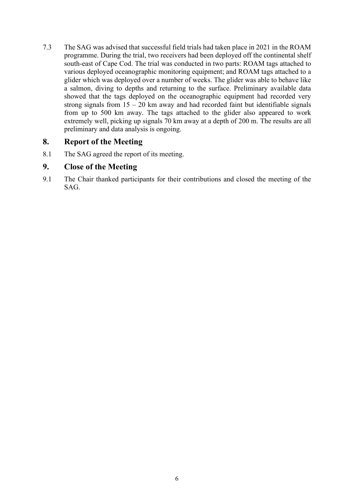7.3 The SAG was advised that successful field trials had taken place in 2021 in the ROAM programme. During the trial, two receivers had been deployed off the continental shelf south-east of Cape Cod. The trial was conducted in two parts: ROAM tags attached to various deployed oceanographic monitoring equipment; and ROAM tags attached to a glider which was deployed over a number of weeks. The glider was able to behave like a salmon, diving to depths and returning to the surface. Preliminary available data showed that the tags deployed on the oceanographic equipment had recorded very strong signals from  $15 - 20$  km away and had recorded faint but identifiable signals from up to 500 km away. The tags attached to the glider also appeared to work extremely well, picking up signals 70 km away at a depth of 200 m. The results are all preliminary and data analysis is ongoing.

## **8. Report of the Meeting**

8.1 The SAG agreed the report of its meeting.

### **9. Close of the Meeting**

9.1 The Chair thanked participants for their contributions and closed the meeting of the SAG.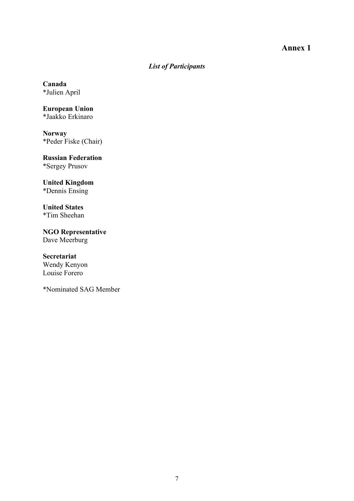## **Annex 1**

# *List of Participants*

**Canada** \*Julien April

**European Union** \*Jaakko Erkinaro

**Norway** \*Peder Fiske (Chair)

**Russian Federation** \*Sergey Prusov

**United Kingdom** \*Dennis Ensing

**United States** \*Tim Sheehan

**NGO Representative** Dave Meerburg

**Secretariat** Wendy Kenyon Louise Forero

\*Nominated SAG Member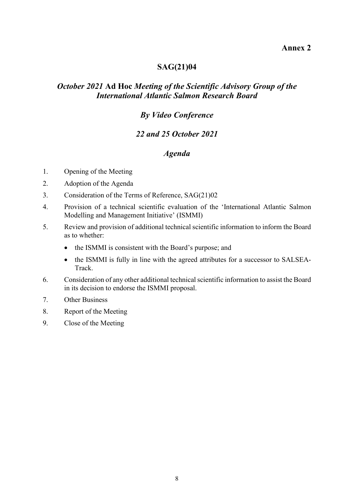### **Annex 2**

# **SAG(21)04**

# *October 2021* **Ad Hoc** *Meeting of the Scientific Advisory Group of the International Atlantic Salmon Research Board*

# *By Video Conference*

# *22 and 25 October 2021*

# *Agenda*

- 1. Opening of the Meeting
- 2. Adoption of the Agenda
- 3. Consideration of the Terms of Reference, SAG(21)02
- 4. Provision of a technical scientific evaluation of the 'International Atlantic Salmon Modelling and Management Initiative' (ISMMI)
- 5. Review and provision of additional technical scientific information to inform the Board as to whether:
	- the ISMMI is consistent with the Board's purpose; and
	- the ISMMI is fully in line with the agreed attributes for a successor to SALSEA-Track.
- 6. Consideration of any other additional technical scientific information to assist the Board in its decision to endorse the ISMMI proposal.
- 7. Other Business
- 8. Report of the Meeting
- 9. Close of the Meeting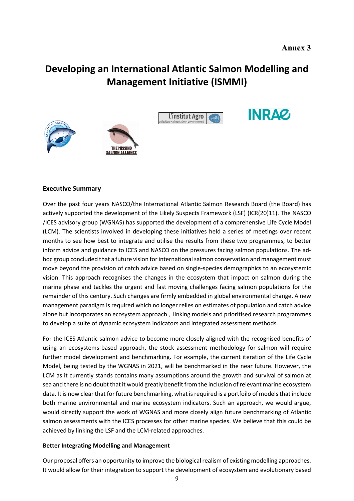# **Developing an International Atlantic Salmon Modelling and Management Initiative (ISMMI)**









#### **Executive Summary**

Over the past four years NASCO/the International Atlantic Salmon Research Board (the Board) has actively supported the development of the Likely Suspects Framework (LSF) (ICR(20)11). The NASCO /ICES advisory group (WGNAS) has supported the development of a comprehensive Life Cycle Model (LCM). The scientists involved in developing these initiatives held a series of meetings over recent months to see how best to integrate and utilise the results from these two programmes, to better inform advice and guidance to ICES and NASCO on the pressures facing salmon populations. The adhoc group concluded that a future vision for international salmon conservation and management must move beyond the provision of catch advice based on single-species demographics to an ecosystemic vision. This approach recognises the changes in the ecosystem that impact on salmon during the marine phase and tackles the urgent and fast moving challenges facing salmon populations for the remainder of this century. Such changes are firmly embedded in global environmental change. A new management paradigm is required which no longer relies on estimates of population and catch advice alone but incorporates an ecosystem approach , linking models and prioritised research programmes to develop a suite of dynamic ecosystem indicators and integrated assessment methods.

For the ICES Atlantic salmon advice to become more closely aligned with the recognised benefits of using an ecosystems-based approach, the stock assessment methodology for salmon will require further model development and benchmarking. For example, the current iteration of the Life Cycle Model, being tested by the WGNAS in 2021, will be benchmarked in the near future. However, the LCM as it currently stands contains many assumptions around the growth and survival of salmon at sea and there is no doubt that it would greatly benefit from the inclusion of relevant marine ecosystem data. It is now clear that for future benchmarking, what is required is a portfoilo of models that include both marine environmental and marine ecosystem indicators. Such an approach, we would argue, would directly support the work of WGNAS and more closely align future benchmarking of Atlantic salmon assessments with the ICES processes for other marine species. We believe that this could be achieved by linking the LSF and the LCM-related approaches.

#### **Better Integrating Modelling and Management**

Our proposal offers an opportunity to improve the biological realism of existing modelling approaches. It would allow for their integration to support the development of ecosystem and evolutionary based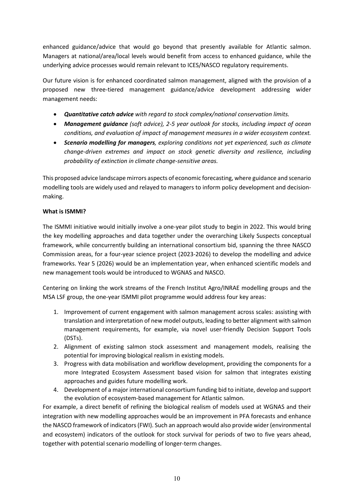enhanced guidance/advice that would go beyond that presently available for Atlantic salmon. Managers at national/area/local levels would benefit from access to enhanced guidance, while the underlying advice processes would remain relevant to ICES/NASCO regulatory requirements.

Our future vision is for enhanced coordinated salmon management, aligned with the provision of a proposed new three-tiered management guidance/advice development addressing wider management needs:

- *Quantitative catch advice with regard to stock complex/national conservation limits.*
- *Management guidance (soft advice), 2-5 year outlook for stocks, including impact of ocean conditions, and evaluation of impact of management measures in a wider ecosystem context.*
- *Scenario modelling for managers, exploring conditions not yet experienced, such as climate change-driven extremes and impact on stock genetic diversity and resilience, including probability of extinction in climate change-sensitive areas.*

This proposed advice landscape mirrors aspects of economic forecasting, where guidance and scenario modelling tools are widely used and relayed to managers to inform policy development and decisionmaking.

#### **What is ISMMI?**

The ISMMI initiative would initially involve a one-year pilot study to begin in 2022. This would bring the key modelling approaches and data together under the overarching Likely Suspects conceptual framework, while concurrently building an international consortium bid, spanning the three NASCO Commission areas, for a four-year science project (2023-2026) to develop the modelling and advice frameworks. Year 5 (2026) would be an implementation year, when enhanced scientific models and new management tools would be introduced to WGNAS and NASCO.

Centering on linking the work streams of the French Institut Agro/INRAE modelling groups and the MSA LSF group, the one-year ISMMI pilot programme would address four key areas:

- 1. Improvement of current engagement with salmon management across scales: assisting with translation and interpretation of new model outputs, leading to better alignment with salmon management requirements, for example, via novel user-friendly Decision Support Tools (DSTs).
- 2. Alignment of existing salmon stock assessment and management models, realising the potential for improving biological realism in existing models.
- 3. Progress with data mobilisation and workflow development, providing the components for a more Integrated Ecosystem Assessment based vision for salmon that integrates existing approaches and guides future modelling work.
- 4. Development of a major international consortium funding bid to initiate, develop and support the evolution of ecosystem-based management for Atlantic salmon.

For example, a direct benefit of refining the biological realism of models used at WGNAS and their integration with new modelling approaches would be an improvement in PFA forecasts and enhance the NASCO framework of indicators (FWI). Such an approach would also provide wider (environmental and ecosystem) indicators of the outlook for stock survival for periods of two to five years ahead, together with potential scenario modelling of longer-term changes.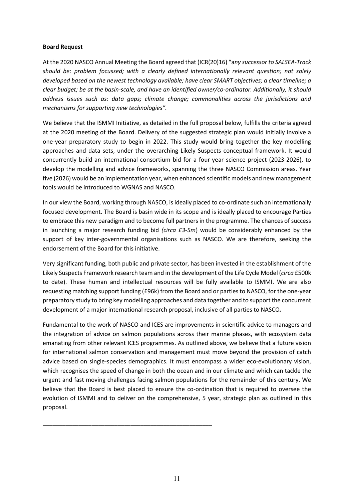#### **Board Request**

At the 2020 NASCO Annual Meeting the Board agreed that (ICR(20)16) "a*ny successor to SALSEA-Track should be: problem focussed; with a clearly defined internationally relevant question; not solely developed based on the newest technology available; have clear SMART objectives; a clear timeline; a clear budget; be at the basin-scale, and have an identified owner/co-ordinator. Additionally, it should address issues such as: data gaps; climate change; commonalities across the jurisdictions and mechanisms for supporting new technologies".*

We believe that the ISMMI Initiative, as detailed in the full proposal below, fulfills the criteria agreed at the 2020 meeting of the Board. Delivery of the suggested strategic plan would initially involve a one-year preparatory study to begin in 2022. This study would bring together the key modelling approaches and data sets, under the overarching Likely Suspects conceptual framework. It would concurrently build an international consortium bid for a four-year science project (2023-2026), to develop the modelling and advice frameworks, spanning the three NASCO Commission areas. Year five (2026) would be an implementation year, when enhanced scientific models and new management tools would be introduced to WGNAS and NASCO.

In our view the Board, working through NASCO, is ideally placed to co-ordinate such an internationally focused development. The Board is basin wide in its scope and is ideally placed to encourage Parties to embrace this new paradigm and to become full partners in the programme. The chances of success in launching a major research funding bid *(circa £3-5m*) would be considerably enhanced by the support of key inter-governmental organisations such as NASCO. We are therefore, seeking the endorsement of the Board for this initiative.

Very significant funding, both public and private sector, has been invested in the establishment of the Likely Suspects Framework research team and in the development of the Life Cycle Model (*circa* £500k to date). These human and intellectual resources will be fully available to ISMMI. We are also requesting matching support funding (£96k) from the Board and or parties to NASCO, for the one-year preparatory study to bring key modelling approaches and data together and to support the concurrent development of a major international research proposal, inclusive of all parties to NASCO*.*

Fundamental to the work of NASCO and ICES are improvements in scientific advice to managers and the integration of advice on salmon populations across their marine phases, with ecosystem data emanating from other relevant ICES programmes. As outlined above, we believe that a future vision for international salmon conservation and management must move beyond the provision of catch advice based on single-species demographics. It must encompass a wider eco-evolutionary vision, which recognises the speed of change in both the ocean and in our climate and which can tackle the urgent and fast moving challenges facing salmon populations for the remainder of this century. We believe that the Board is best placed to ensure the co-ordination that is required to oversee the evolution of ISMMI and to deliver on the comprehensive, 5 year, strategic plan as outlined in this proposal.

\_\_\_\_\_\_\_\_\_\_\_\_\_\_\_\_\_\_\_\_\_\_\_\_\_\_\_\_\_\_\_\_\_\_\_\_\_\_\_\_\_\_\_\_\_\_\_\_\_\_\_\_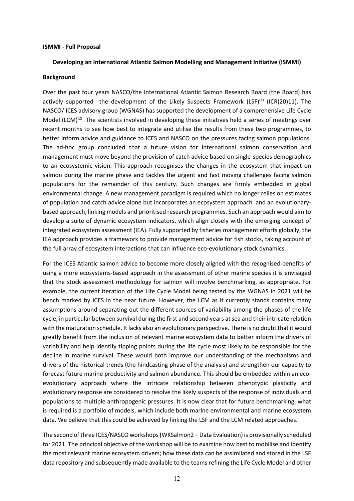#### **ISMMI - Full Proposal**

#### **Developing an International Atlantic Salmon Modelling and Management Initiative (ISMMI)**

#### **Background**

Over the past four years NASCO/the International Atlantic Salmon Research Board (the Board) has actively supported the development of the Likely Suspects Framework (LSF)<sup>(1)</sup> (ICR(20)11). The NASCO/ ICES advisory group (WGNAS) has supported the development of a comprehensive Life Cycle Model (LCM)<sup>(2)</sup>. The scientists involved in developing these initiatives held a series of meetings over recent months to see how best to integrate and utilise the results from these two programmes, to better inform advice and guidance to ICES and NASCO on the pressures facing salmon populations. The ad-hoc group concluded that a future vision for international salmon conservation and management must move beyond the provision of catch advice based on single-species demographics to an ecosystemic vision. This approach recognises the changes in the ecosystem that impact on salmon during the marine phase and tackles the urgent and fast moving challenges facing salmon populations for the remainder of this century. Such changes are firmly embedded in global environmental change. A new management paradigm is required which no longer relies on estimates of population and catch advice alone but incorporates an ecosystem approach and an evolutionarybased approach, linking models and prioritised research programmes. Such an approach would aim to develop a suite of dynamic ecosystem indicators, which align closely with the emerging concept of integrated ecosystem assessment (IEA). Fully supported by fisheries management efforts globally, the IEA approach provides a framework to provide management advice for fish stocks, taking account of the full array of ecosystem interactions that can influence eco-evolutionary stock dynamics.

For the ICES Atlantic salmon advice to become more closely aligned with the recognised benefits of using a more ecosystems-based approach in the assessment of other marine species it is envisaged that the stock assessment methodology for salmon will involve benchmarking, as appropriate. For example, the current iteration of the Life Cycle Model being tested by the WGNAS in 2021 will be bench marked by ICES in the near future. However, the LCM as it currently stands contains many assumptions around separating out the different sources of variability among the phases of the life cycle, in particular between survival during the first and second years at sea and their intricate relation with the maturation schedule. It lacks also an evolutionary perspective. There is no doubt that it would greatly benefit from the inclusion of relevant marine ecosystem data to better inform the drivers of variability and help identify tipping points during the life cycle most likely to be responsible for the decline in marine survival. These would both improve our understanding of the mechanisms and drivers of the historical trends (the hindcasting phase of the analysis) and strengthen our capacity to forecast future marine productivity and salmon abundance. This should be embedded within an ecoevolutionary approach where the intricate relationship between phenotypic plasticity and evolutionary response are considered to resolve the likely suspects of the response of individuals and populations to multiple anthropogenic pressures. It is now clear that for future benchmarking, what is required is a portfoilo of models, which include both marine environmental and marine ecosystem data. We believe that this could be achieved by linking the LSF and the LCM related approaches.

The second of three ICES/NASCO workshops (WKSalmon2 – Data Evaluation) is provisionally scheduled for 2021. The principal objective of the workshop will be to examine how best to mobilise and identify the most relevant marine ecosystem drivers; how these data can be assimilated and stored in the LSF data repository and subsequently made available to the teams refining the Life Cycle Model and other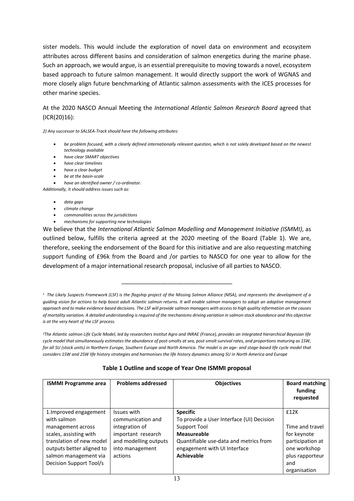sister models. This would include the exploration of novel data on environment and ecosystem attributes across different basins and consideration of salmon energetics during the marine phase. Such an approach, we would argue, is an essential prerequisite to moving towards a novel, ecosystem based approach to future salmon management. It would directly support the work of WGNAS and more closely align future benchmarking of Atlantic salmon assessments with the ICES processes for other marine species.

#### At the 2020 NASCO Annual Meeting the *International Atlantic Salmon Research Board* agreed that (ICR(20)16):

*2) Any successor to SALSEA-Track should have the following attributes:*

- *be problem focused, with a clearly defined internationally relevant question, which is not solely developed based on the newest technology available*
- *have clear SMART objectives*
- *have clear timelines*
- *have a clear budget*
- *be at the basin-scale*
- *have an identified owner / co-ordinator.*

*Additionally, it should address issues such as:* 

- *data gaps*
- *climate change*
- *commonalities across the jurisdictions*
- *mechanisms for supporting new technologies*

We believe that the *International Atlantic Salmon Modelling and Management Initiative (ISMMI)*, as outlined below, fulfills the criteria agreed at the 2020 meeting of the Board (Table 1). We are, therefore, seeking the endorsement of the Board for this initiative and are also requesting matching support funding of £96k from the Board and /or parties to NASCO for one year to allow for the development of a major international research proposal, inclusive of all parties to NASCO.

\_\_\_\_\_\_\_\_\_\_\_\_\_\_\_\_\_\_\_\_\_\_\_\_\_\_\_\_\_\_\_\_\_\_

*2The Atlantic salmon Life Cycle Model, led by researchers Institut Agro and INRAE (France), provides an integrated hierarchical Bayesian life cycle model that simultaneously estimates the abundance of post-smolts at sea, post-smolt survival rates, and proportions maturing as 1SW, for all SU (stock units) in Northern Europe, Southern Europe and North America. The model is an age- and stage-based life cycle model that considers 1SW and 2SW life history strategies and harmonises the life history dynamics among SU in North America and Europe*

| Table 1 Outline and scope of Year One ISMMI proposal |
|------------------------------------------------------|
|------------------------------------------------------|

| <b>ISMMI Programme area</b> | <b>Problems addressed</b> | <b>Objectives</b>                         | <b>Board matching</b><br>funding<br>requested |
|-----------------------------|---------------------------|-------------------------------------------|-----------------------------------------------|
| 1. Improved engagement      | Issues with               | <b>Specific</b>                           | £12K                                          |
| with salmon                 | communication and         | To provide a User Interface (UI) Decision |                                               |
| management across           | integration of            | Support Tool                              | Time and travel                               |
| scales, assisting with      | important research        | <b>Measureable</b>                        | for keynote                                   |
| translation of new model    | and modelling outputs     | Quantifiable use-data and metrics from    | participation at                              |
| outputs better aligned to   | into management           | engagement with UI Interface              | one workshop                                  |
| salmon management via       | actions                   | <b>Achievable</b>                         | plus rapporteur                               |
| Decision Support Tool/s     |                           |                                           | and                                           |
|                             |                           |                                           | organisation                                  |

<sup>1</sup> *The Likely Suspects Framework (LSF) is the flagship project of the Missing Salmon Alliance (MSA), and represents the development of a guiding vision for actions to help boost adult Atlantic salmon returns. It will enable salmon managers to adopt an adaptive management approach and to make evidence based decisions. The LSF will provide salmon managers with access to high quality information on the causes of mortality variation. A detailed understanding is required of the mechanisms driving variation in salmon stock abundance and this objective is at the very heart of the LSF process.*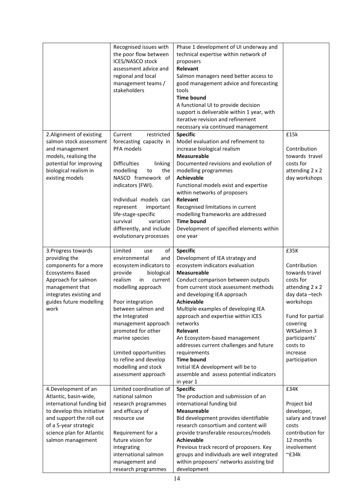|                            | Recognised issues with         | Phase 1 development of UI underway and     |                    |
|----------------------------|--------------------------------|--------------------------------------------|--------------------|
|                            | the poor flow between          | technical expertise within network of      |                    |
|                            | ICES/NASCO stock               | proposers                                  |                    |
|                            | assessment advice and          | Relevant                                   |                    |
|                            | regional and local             | Salmon managers need better access to      |                    |
|                            | management teams /             | good management advice and forecasting     |                    |
|                            | stakeholders                   | tools                                      |                    |
|                            |                                | <b>Time bound</b>                          |                    |
|                            |                                | A functional UI to provide decision        |                    |
|                            |                                | support is deliverable within 1 year, with |                    |
|                            |                                | iterative revision and refinement          |                    |
|                            |                                |                                            |                    |
|                            |                                | necessary via continued management         |                    |
| 2. Alignment of existing   | Current<br>restricted          | <b>Specific</b>                            | £15k               |
| salmon stock assessment    | forecasting capacity in        | Model evaluation and refinement to         |                    |
| and management             | PFA models                     | increase biological realism                | Contribution       |
| models, realising the      |                                | <b>Measureable</b>                         | towards travel     |
| potential for improving    | <b>Difficulties</b><br>linking | Documented revisions and evolution of      | costs for          |
| biological realism in      | the<br>modelling<br>to         | modelling programmes                       | attending 2 x 2    |
| existing models            | NASCO framework of             | <b>Achievable</b>                          | day workshops      |
|                            | indicators (FWI).              | Functional models exist and expertise      |                    |
|                            |                                | within networks of proposers               |                    |
|                            | Individual models can          | Relevant                                   |                    |
|                            | represent<br>important         | Recognised limitations in current          |                    |
|                            | life-stage-specific            | modelling frameworks are addressed         |                    |
|                            | survival<br>variation          | <b>Time bound</b>                          |                    |
|                            | differently, and include       | Development of specified elements within   |                    |
|                            | evolutionary processes         | one year                                   |                    |
|                            |                                |                                            |                    |
| 3. Progress towards        | Limited<br>of<br>use           | <b>Specific</b>                            | £35K               |
| providing the              | environmental<br>and           | Development of IEA strategy and            |                    |
| components for a more      | ecosystem indicators to        | ecosystem indicators evaluation            | Contribution       |
| <b>Ecosystems Based</b>    | provide<br>biological          | <b>Measureable</b>                         | towards travel     |
| Approach for salmon        | realism<br>in<br>current       | Conduct comparison between outputs         | costs for          |
| management that            | modelling approach             | from current stock assessment methods      | attending 2 x 2    |
| integrates existing and    |                                | and developing IEA approach                | day data-tech      |
| guides future modelling    | Poor integration               | <b>Achievable</b>                          | workshops          |
| work                       | between salmon and             | Multiple examples of developing IEA        |                    |
|                            | the Integrated                 | approach and expertise within ICES         | Fund for partial   |
|                            |                                | networks                                   |                    |
|                            | management approach            |                                            | covering           |
|                            | promoted for other             | Relevant                                   | WKSalmon 3         |
|                            | marine species                 | An Ecosystem-based management              | participants'      |
|                            |                                | addresses current challenges and future    | costs to           |
|                            | Limited opportunities          | requirements                               | increase           |
|                            | to refine and develop          | <b>Time bound</b>                          | participation      |
|                            | modelling and stock            | Initial IEA development will be to         |                    |
|                            | assessment approach            | assemble and assess potential indicators   |                    |
|                            |                                | in year 1                                  |                    |
| 4. Development of an       | Limited coordination of        | <b>Specific</b>                            | £34K               |
| Atlantic, basin-wide,      | national salmon                | The production and submission of an        |                    |
| international funding bid  | research programmes            | international funding bid                  | Project bid        |
| to develop this initiative | and efficacy of                | <b>Measureable</b>                         | developer,         |
| and support the roll out   | resource use                   | Bid development provides identifiable      | salary and travel  |
| of a 5-year strategic      |                                | research consortium and content will       | costs              |
| science plan for Atlantic  | Requirement for a              | provide transferable resources/models      | contribution for   |
| salmon management          | future vision for              | <b>Achievable</b>                          | 12 months          |
|                            | integrating                    | Previous track record of proposers. Key    | involvement        |
|                            | international salmon           | groups and individuals are well integrated | $~^{\sim}$ £34 $k$ |
|                            | management and                 | within proposers' networks assisting bid   |                    |
|                            | research programmes            | development                                |                    |
|                            |                                |                                            |                    |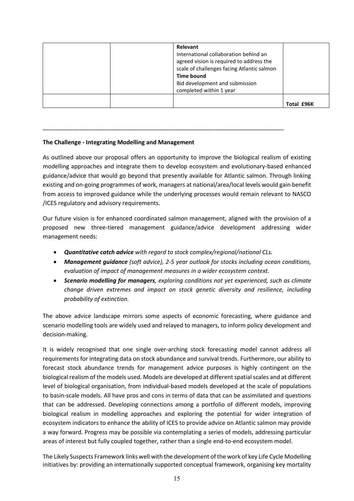| Relevant<br>International collaboration behind an<br>agreed vision is required to address the<br>scale of challenges facing Atlantic salmon<br><b>Time bound</b><br>Bid development and submission<br>completed within 1 year |            |
|-------------------------------------------------------------------------------------------------------------------------------------------------------------------------------------------------------------------------------|------------|
|                                                                                                                                                                                                                               | Total £96K |

#### **The Challenge - Integrating Modelling and Management**

As outlined above our proposal offers an opportunity to improve the biological realism of existing modelling approaches and integrate them to develop ecosystem and evolutionary-based enhanced guidance/advice that would go beyond that presently available for Atlantic salmon. Through linking existing and on-going programmes of work, managers at national/area/local levels would gain benefit from access to improved guidance while the underlying processes would remain relevant to NASCO /ICES regulatory and advisory requirements.

\_\_\_\_\_\_\_\_\_\_\_\_\_\_\_\_\_\_\_\_\_\_\_\_\_\_\_\_\_\_\_\_\_\_\_\_\_\_\_\_\_\_\_\_\_\_\_\_\_\_\_\_\_\_\_\_\_\_\_\_\_\_\_\_\_\_\_\_\_\_\_\_\_\_

Our future vision is for enhanced coordinated salmon management, aligned with the provision of a proposed new three-tiered management guidance/advice development addressing wider management needs:

- *Quantitative catch advice with regard to stock complex/regional/national CLs.*
- *Management guidance (soft advice), 2-5 year outlook for stocks including ocean conditions, evaluation of impact of management measures in a wider ecosystem context.*
- *Scenario modelling for managers, exploring conditions not yet experienced, such as climate change driven extremes and impact on stock genetic diversity and resilience, including probability of extinction.*

The above advice landscape mirrors some aspects of economic forecasting, where guidance and scenario modelling tools are widely used and relayed to managers, to inform policy development and decision-making.

It is widely recognised that one single over-arching stock forecasting model cannot address all requirements for integrating data on stock abundance and survival trends. Furthermore, our ability to forecast stock abundance trends for management advice purposes is highly contingent on the biological realism of the models used. Models are developed at different spatial scales and at different level of biological organisation, from individual-based models developed at the scale of populations to basin-scale models. All have pros and cons in terms of data that can be assimilated and questions that can be addressed. Developing connections among a portfolio of different models, improving biological realism in modelling approaches and exploring the potential for wider integration of ecosystem indicators to enhance the ability of ICES to provide advice on Atlantic salmon may provide a way forward. Progress may be possible via contemplating a series of models, addressing particular areas of interest but fully coupled together, rather than a single end-to-end ecosystem model.

The Likely Suspects Framework links well with the development of the work of key Life Cycle Modelling initiatives by: providing an internationally supported conceptual framework, organising key mortality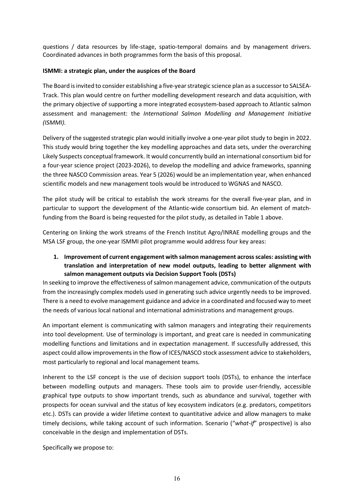questions / data resources by life-stage, spatio-temporal domains and by management drivers. Coordinated advances in both programmes form the basis of this proposal.

#### **ISMMI: a strategic plan, under the auspices of the Board**

The Board is invited to consider establishing a five-year strategic science plan as a successor to SALSEA-Track. This plan would centre on further modelling development research and data acquisition, with the primary objective of supporting a more integrated ecosystem-based approach to Atlantic salmon assessment and management: the *International Salmon Modelling and Management Initiative (ISMMI).*

Delivery of the suggested strategic plan would initially involve a one-year pilot study to begin in 2022. This study would bring together the key modelling approaches and data sets, under the overarching Likely Suspects conceptual framework. It would concurrently build an international consortium bid for a four-year science project (2023-2026), to develop the modelling and advice frameworks, spanning the three NASCO Commission areas. Year 5 (2026) would be an implementation year, when enhanced scientific models and new management tools would be introduced to WGNAS and NASCO.

The pilot study will be critical to establish the work streams for the overall five-year plan, and in particular to support the development of the Atlantic-wide consortium bid. An element of matchfunding from the Board is being requested for the pilot study, as detailed in Table 1 above.

Centering on linking the work streams of the French Institut Agro/INRAE modelling groups and the MSA LSF group, the one-year ISMMI pilot programme would address four key areas:

**1. Improvement of current engagement with salmon management across scales: assisting with translation and interpretation of new model outputs, leading to better alignment with salmon management outputs via Decision Support Tools (DSTs)** 

In seeking to improve the effectiveness of salmon management advice, communication of the outputs from the increasingly complex models used in generating such advice urgently needs to be improved. There is a need to evolve management guidance and advice in a coordinated and focused way to meet the needs of various local national and international administrations and management groups.

An important element is communicating with salmon managers and integrating their requirements into tool development. Use of terminology is important, and great care is needed in communicating modelling functions and limitations and in expectation management. If successfully addressed, this aspect could allow improvements in the flow of ICES/NASCO stock assessment advice to stakeholders, most particularly to regional and local management teams.

Inherent to the LSF concept is the use of decision support tools (DSTs), to enhance the interface between modelling outputs and managers. These tools aim to provide user-friendly, accessible graphical type outputs to show important trends, such as abundance and survival, together with prospects for ocean survival and the status of key ecosystem indicators (e.g. predators, competitors etc.). DSTs can provide a wider lifetime context to quantitative advice and allow managers to make timely decisions, while taking account of such information. Scenario ("*what-if*" prospective) is also conceivable in the design and implementation of DSTs.

Specifically we propose to: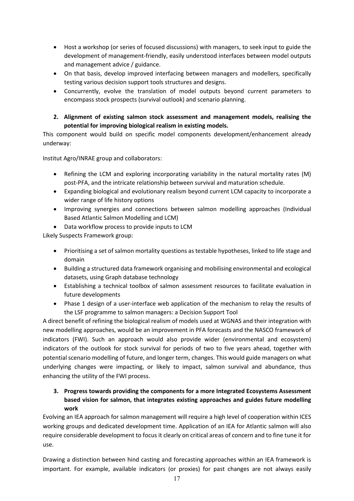- Host a workshop (or series of focused discussions) with managers, to seek input to guide the development of management-friendly, easily understood interfaces between model outputs and management advice / guidance.
- On that basis, develop improved interfacing between managers and modellers, specifically testing various decision support tools structures and designs.
- Concurrently, evolve the translation of model outputs beyond current parameters to encompass stock prospects (survival outlook) and scenario planning.
- **2. Alignment of existing salmon stock assessment and management models, realising the potential for improving biological realism in existing models.**

This component would build on specific model components development/enhancement already underway:

Institut Agro/INRAE group and collaborators:

- Refining the LCM and exploring incorporating variability in the natural mortality rates (M) post-PFA, and the intricate relationship between survival and maturation schedule.
- Expanding biological and evolutionary realism beyond current LCM capacity to incorporate a wider range of life history options
- Improving synergies and connections between salmon modelling approaches (Individual Based Atlantic Salmon Modelling and LCM)
- Data workflow process to provide inputs to LCM

Likely Suspects Framework group:

- Prioritising a set of salmon mortality questions as testable hypotheses, linked to life stage and domain
- Building a structured data framework organising and mobilising environmental and ecological datasets, using Graph database technology
- Establishing a technical toolbox of salmon assessment resources to facilitate evaluation in future developments
- Phase 1 design of a user-interface web application of the mechanism to relay the results of the LSF programme to salmon managers: a Decision Support Tool

A direct benefit of refining the biological realism of models used at WGNAS and their integration with new modelling approaches, would be an improvement in PFA forecasts and the NASCO framework of indicators (FWI). Such an approach would also provide wider (environmental and ecosystem) indicators of the outlook for stock survival for periods of two to five years ahead, together with potential scenario modelling of future, and longer term, changes. This would guide managers on what underlying changes were impacting, or likely to impact, salmon survival and abundance, thus enhancing the utility of the FWI process.

### **3. Progress towards providing the components for a more Integrated Ecosystems Assessment based vision for salmon, that integrates existing approaches and guides future modelling work**

Evolving an IEA approach for salmon management will require a high level of cooperation within ICES working groups and dedicated development time. Application of an IEA for Atlantic salmon will also require considerable development to focus it clearly on critical areas of concern and to fine tune it for use.

Drawing a distinction between hind casting and forecasting approaches within an IEA framework is important. For example, available indicators (or proxies) for past changes are not always easily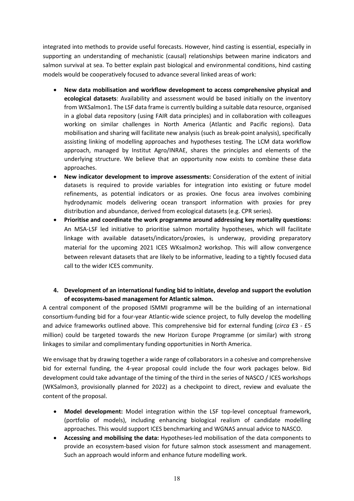integrated into methods to provide useful forecasts. However, hind casting is essential, especially in supporting an understanding of mechanistic (causal) relationships between marine indicators and salmon survival at sea. To better explain past biological and environmental conditions, hind casting models would be cooperatively focused to advance several linked areas of work:

- **New data mobilisation and workflow development to access comprehensive physical and ecological datasets**: Availability and assessment would be based initially on the inventory from WKSalmon1. The LSF data frame is currently building a suitable data resource, organised in a global data repository (using FAIR data principles) and in collaboration with colleagues working on similar challenges in North America (Atlantic and Pacific regions). Data mobilisation and sharing will facilitate new analysis (such as break-point analysis), specifically assisting linking of modelling approaches and hypotheses testing. The LCM data workflow approach, managed by Institut Agro/INRAE, shares the principles and elements of the underlying structure. We believe that an opportunity now exists to combine these data approaches.
- **New indicator development to improve assessments:** Consideration of the extent of initial datasets is required to provide variables for integration into existing or future model refinements, as potential indicators or as proxies. One focus area involves combining hydrodynamic models delivering ocean transport information with proxies for prey distribution and abundance, derived from ecological datasets (e.g. CPR series).
- **Prioritise and coordinate the work programme around addressing key mortality questions:** An MSA-LSF led initiative to prioritise salmon mortality hypotheses, which will facilitate linkage with available datasets/indicators/proxies, is underway, providing preparatory material for the upcoming 2021 ICES WKsalmon2 workshop. This will allow convergence between relevant datasets that are likely to be informative, leading to a tightly focused data call to the wider ICES community.

#### **4. Development of an international funding bid to initiate, develop and support the evolution of ecosystems-based management for Atlantic salmon.**

A central component of the proposed ISMMI programme will be the building of an international consortium-funding bid for a four-year Atlantic-wide science project, to fully develop the modelling and advice frameworks outlined above. This comprehensive bid for external funding (*circa* £3 - £5 million) could be targeted towards the new Horizon Europe Programme (or similar) with strong linkages to similar and complimentary funding opportunities in North America.

We envisage that by drawing together a wide range of collaborators in a cohesive and comprehensive bid for external funding, the 4-year proposal could include the four work packages below. Bid development could take advantage of the timing of the third in the series of NASCO / ICES workshops (WKSalmon3, provisionally planned for 2022) as a checkpoint to direct, review and evaluate the content of the proposal.

- **Model development:** Model integration within the LSF top-level conceptual framework, (portfolio of models), including enhancing biological realism of candidate modelling approaches. This would support ICES benchmarking and WGNAS annual advice to NASCO.
- **Accessing and mobilising the data:** Hypotheses-led mobilisation of the data components to provide an ecosystem-based vision for future salmon stock assessment and management. Such an approach would inform and enhance future modelling work.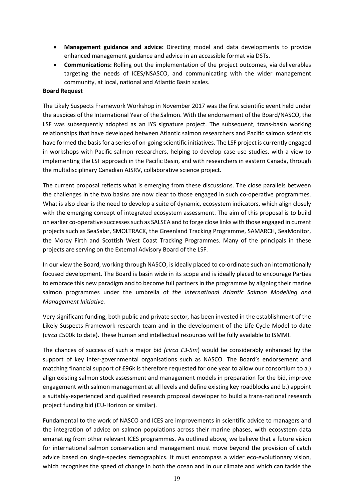- **Management guidance and advice:** Directing model and data developments to provide enhanced management guidance and advice in an accessible format via DSTs.
- **Communications:** Rolling out the implementation of the project outcomes, via deliverables targeting the needs of ICES/NSASCO, and communicating with the wider management community, at local, national and Atlantic Basin scales.

#### **Board Request**

The Likely Suspects Framework Workshop in November 2017 was the first scientific event held under the auspices of the International Year of the Salmon. With the endorsement of the Board/NASCO, the LSF was subsequently adopted as an IYS signature project. The subsequent, trans-basin working relationships that have developed between Atlantic salmon researchers and Pacific salmon scientists have formed the basis for a series of on-going scientific initiatives. The LSF project is currently engaged in workshops with Pacific salmon researchers, helping to develop case-use studies, with a view to implementing the LSF approach in the Pacific Basin, and with researchers in eastern Canada, through the multidisciplinary Canadian AJSRV, collaborative science project.

The current proposal reflects what is emerging from these discussions. The close parallels between the challenges in the two basins are now clear to those engaged in such co-operative programmes. What is also clear is the need to develop a suite of dynamic, ecosystem indicators, which align closely with the emerging concept of integrated ecosystem assessment. The aim of this proposal is to build on earlier co-operative successes such as SALSEA and to forge close links with those engaged in current projects such as SeaSalar, SMOLTRACK, the Greenland Tracking Programme, SAMARCH, SeaMonitor, the Moray Firth and Scottish West Coast Tracking Programmes. Many of the principals in these projects are serving on the External Advisory Board of the LSF.

In our view the Board, working through NASCO, is ideally placed to co-ordinate such an internationally focused development. The Board is basin wide in its scope and is ideally placed to encourage Parties to embrace this new paradigm and to become full partners in the programme by aligning their marine salmon programmes under the umbrella of *the International Atlantic Salmon Modelling and Management Initiative.* 

Very significant funding, both public and private sector, has been invested in the establishment of the Likely Suspects Framework research team and in the development of the Life Cycle Model to date (*circa* £500k to date). These human and intellectual resources will be fully available to ISMMI.

The chances of success of such a major bid *(circa £3-5m*) would be considerably enhanced by the support of key inter-governmental organisations such as NASCO. The Board's endorsement and matching financial support of £96k is therefore requested for one year to allow our consortium to a.) align existing salmon stock assessment and management models in preparation for the bid, improve engagement with salmon management at all levels and define existing key roadblocks and b.) appoint a suitably-experienced and qualified research proposal developer to build a trans-national research project funding bid (EU-Horizon or similar).

Fundamental to the work of NASCO and ICES are improvements in scientific advice to managers and the integration of advice on salmon populations across their marine phases, with ecosystem data emanating from other relevant ICES programmes. As outlined above, we believe that a future vision for international salmon conservation and management must move beyond the provision of catch advice based on single-species demographics. It must encompass a wider eco-evolutionary vision, which recognises the speed of change in both the ocean and in our climate and which can tackle the